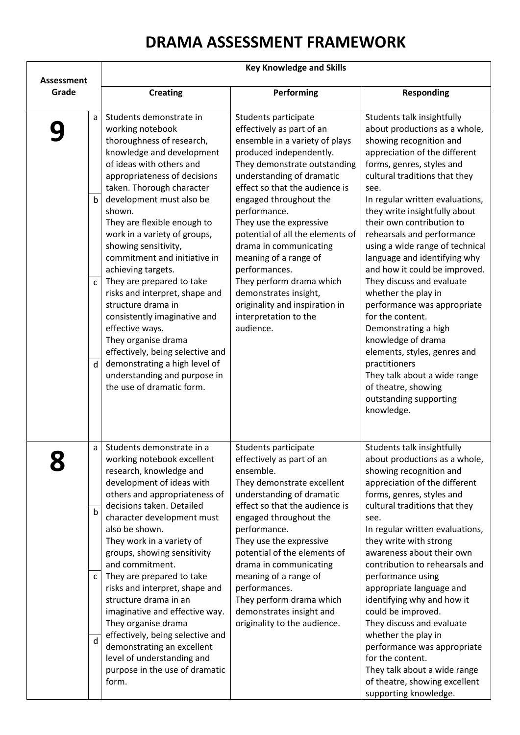## **DRAMA ASSESSMENT FRAMEWORK**

|                                                  | <b>Key Knowledge and Skills</b>                                                                                                                                                                                                                                                                                                                                                                                                                                                                                                                                                                                                                                                    |                                                                                                                                                                                                                                                                                                                                                                                                                                                                                                                         |                                                                                                                                                                                                                                                                                                                                                                                                                                                                                                                                                                                                                                                                                                                                       |  |
|--------------------------------------------------|------------------------------------------------------------------------------------------------------------------------------------------------------------------------------------------------------------------------------------------------------------------------------------------------------------------------------------------------------------------------------------------------------------------------------------------------------------------------------------------------------------------------------------------------------------------------------------------------------------------------------------------------------------------------------------|-------------------------------------------------------------------------------------------------------------------------------------------------------------------------------------------------------------------------------------------------------------------------------------------------------------------------------------------------------------------------------------------------------------------------------------------------------------------------------------------------------------------------|---------------------------------------------------------------------------------------------------------------------------------------------------------------------------------------------------------------------------------------------------------------------------------------------------------------------------------------------------------------------------------------------------------------------------------------------------------------------------------------------------------------------------------------------------------------------------------------------------------------------------------------------------------------------------------------------------------------------------------------|--|
| <b>Assessment</b><br>Grade                       | <b>Creating</b>                                                                                                                                                                                                                                                                                                                                                                                                                                                                                                                                                                                                                                                                    | Performing                                                                                                                                                                                                                                                                                                                                                                                                                                                                                                              | <b>Responding</b>                                                                                                                                                                                                                                                                                                                                                                                                                                                                                                                                                                                                                                                                                                                     |  |
| a<br>$\mathsf b$<br>$\mathsf{C}$<br>$\mathsf{d}$ | Students demonstrate in<br>working notebook<br>thoroughness of research,<br>knowledge and development<br>of ideas with others and<br>appropriateness of decisions<br>taken. Thorough character<br>development must also be<br>shown.<br>They are flexible enough to<br>work in a variety of groups,<br>showing sensitivity,<br>commitment and initiative in<br>achieving targets.<br>They are prepared to take<br>risks and interpret, shape and<br>structure drama in<br>consistently imaginative and<br>effective ways.<br>They organise drama<br>effectively, being selective and<br>demonstrating a high level of<br>understanding and purpose in<br>the use of dramatic form. | Students participate<br>effectively as part of an<br>ensemble in a variety of plays<br>produced independently.<br>They demonstrate outstanding<br>understanding of dramatic<br>effect so that the audience is<br>engaged throughout the<br>performance.<br>They use the expressive<br>potential of all the elements of<br>drama in communicating<br>meaning of a range of<br>performances.<br>They perform drama which<br>demonstrates insight,<br>originality and inspiration in<br>interpretation to the<br>audience. | Students talk insightfully<br>about productions as a whole,<br>showing recognition and<br>appreciation of the different<br>forms, genres, styles and<br>cultural traditions that they<br>see.<br>In regular written evaluations,<br>they write insightfully about<br>their own contribution to<br>rehearsals and performance<br>using a wide range of technical<br>language and identifying why<br>and how it could be improved.<br>They discuss and evaluate<br>whether the play in<br>performance was appropriate<br>for the content.<br>Demonstrating a high<br>knowledge of drama<br>elements, styles, genres and<br>practitioners<br>They talk about a wide range<br>of theatre, showing<br>outstanding supporting<br>knowledge. |  |
| a<br>$\mathbf b$<br>c<br>$\mathsf{d}$            | Students demonstrate in a<br>working notebook excellent<br>research, knowledge and<br>development of ideas with<br>others and appropriateness of<br>decisions taken. Detailed<br>character development must<br>also be shown.<br>They work in a variety of<br>groups, showing sensitivity<br>and commitment.<br>They are prepared to take<br>risks and interpret, shape and<br>structure drama in an<br>imaginative and effective way.<br>They organise drama<br>effectively, being selective and<br>demonstrating an excellent<br>level of understanding and<br>purpose in the use of dramatic<br>form.                                                                           | Students participate<br>effectively as part of an<br>ensemble.<br>They demonstrate excellent<br>understanding of dramatic<br>effect so that the audience is<br>engaged throughout the<br>performance.<br>They use the expressive<br>potential of the elements of<br>drama in communicating<br>meaning of a range of<br>performances.<br>They perform drama which<br>demonstrates insight and<br>originality to the audience.                                                                                            | Students talk insightfully<br>about productions as a whole,<br>showing recognition and<br>appreciation of the different<br>forms, genres, styles and<br>cultural traditions that they<br>see.<br>In regular written evaluations,<br>they write with strong<br>awareness about their own<br>contribution to rehearsals and<br>performance using<br>appropriate language and<br>identifying why and how it<br>could be improved.<br>They discuss and evaluate<br>whether the play in<br>performance was appropriate<br>for the content.<br>They talk about a wide range<br>of theatre, showing excellent<br>supporting knowledge.                                                                                                       |  |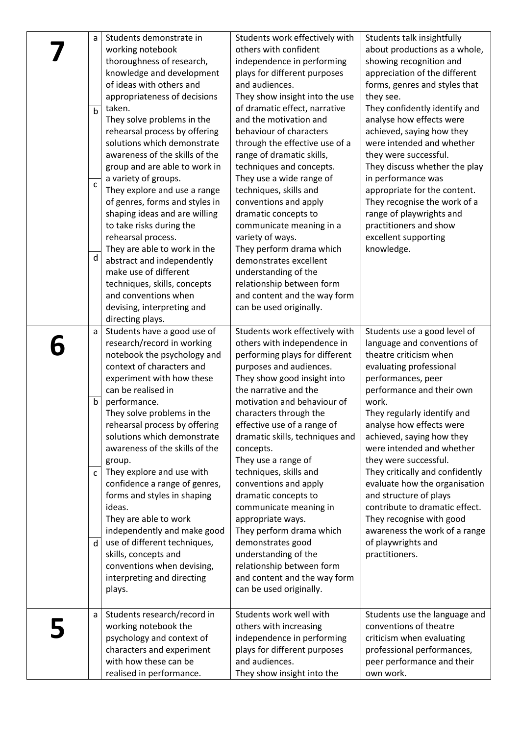| a            | Students demonstrate in        | Students work effectively with  | Students talk insightfully      |
|--------------|--------------------------------|---------------------------------|---------------------------------|
|              | working notebook               | others with confident           | about productions as a whole,   |
|              | thoroughness of research,      | independence in performing      | showing recognition and         |
|              | knowledge and development      | plays for different purposes    | appreciation of the different   |
|              | of ideas with others and       | and audiences.                  | forms, genres and styles that   |
|              | appropriateness of decisions   | They show insight into the use  | they see.                       |
|              | taken.                         | of dramatic effect, narrative   | They confidently identify and   |
| $\mathsf{b}$ | They solve problems in the     | and the motivation and          | analyse how effects were        |
|              | rehearsal process by offering  | behaviour of characters         | achieved, saying how they       |
|              | solutions which demonstrate    | through the effective use of a  | were intended and whether       |
|              | awareness of the skills of the | range of dramatic skills,       |                                 |
|              |                                |                                 | they were successful.           |
|              | group and are able to work in  | techniques and concepts.        | They discuss whether the play   |
| $\mathsf{C}$ | a variety of groups.           | They use a wide range of        | in performance was              |
|              | They explore and use a range   | techniques, skills and          | appropriate for the content.    |
|              | of genres, forms and styles in | conventions and apply           | They recognise the work of a    |
|              | shaping ideas and are willing  | dramatic concepts to            | range of playwrights and        |
|              | to take risks during the       | communicate meaning in a        | practitioners and show          |
|              | rehearsal process.             | variety of ways.                | excellent supporting            |
| d            | They are able to work in the   | They perform drama which        | knowledge.                      |
|              | abstract and independently     | demonstrates excellent          |                                 |
|              | make use of different          | understanding of the            |                                 |
|              | techniques, skills, concepts   | relationship between form       |                                 |
|              | and conventions when           | and content and the way form    |                                 |
|              | devising, interpreting and     | can be used originally.         |                                 |
|              | directing plays.               |                                 |                                 |
| a            | Students have a good use of    | Students work effectively with  | Students use a good level of    |
|              | research/record in working     | others with independence in     | language and conventions of     |
|              | notebook the psychology and    | performing plays for different  | theatre criticism when          |
|              | context of characters and      | purposes and audiences.         | evaluating professional         |
|              | experiment with how these      | They show good insight into     | performances, peer              |
|              | can be realised in             | the narrative and the           | performance and their own       |
| $\mathsf b$  | performance.                   | motivation and behaviour of     | work.                           |
|              | They solve problems in the     | characters through the          | They regularly identify and     |
|              | rehearsal process by offering  | effective use of a range of     | analyse how effects were        |
|              | solutions which demonstrate    | dramatic skills, techniques and | achieved, saying how they       |
|              | awareness of the skills of the | concepts.                       | were intended and whether       |
|              | group.                         | They use a range of             | they were successful.           |
| C            | They explore and use with      | techniques, skills and          | They critically and confidently |
|              | confidence a range of genres,  | conventions and apply           | evaluate how the organisation   |
|              | forms and styles in shaping    | dramatic concepts to            | and structure of plays          |
|              | ideas.                         | communicate meaning in          | contribute to dramatic effect.  |
|              | They are able to work          | appropriate ways.               | They recognise with good        |
|              | independently and make good    | They perform drama which        | awareness the work of a range   |
| d            | use of different techniques,   | demonstrates good               | of playwrights and              |
|              | skills, concepts and           | understanding of the            | practitioners.                  |
|              | conventions when devising,     | relationship between form       |                                 |
|              | interpreting and directing     | and content and the way form    |                                 |
|              | plays.                         | can be used originally.         |                                 |
|              |                                |                                 |                                 |
| a            | Students research/record in    | Students work well with         | Students use the language and   |
|              | working notebook the           | others with increasing          | conventions of theatre          |
|              | psychology and context of      | independence in performing      | criticism when evaluating       |
|              | characters and experiment      | plays for different purposes    | professional performances,      |
|              | with how these can be          | and audiences.                  | peer performance and their      |
|              | realised in performance.       | They show insight into the      | own work.                       |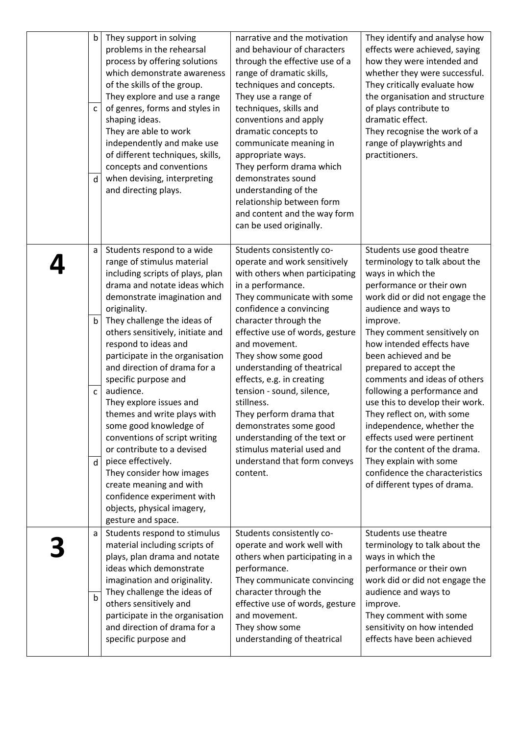| b<br>$\mathsf{C}$<br>d      | They support in solving<br>problems in the rehearsal<br>process by offering solutions<br>which demonstrate awareness<br>of the skills of the group.<br>They explore and use a range<br>of genres, forms and styles in<br>shaping ideas.<br>They are able to work<br>independently and make use<br>of different techniques, skills,<br>concepts and conventions<br>when devising, interpreting<br>and directing plays.                                                                                                                                                                                                                                                                            | narrative and the motivation<br>and behaviour of characters<br>through the effective use of a<br>range of dramatic skills,<br>techniques and concepts.<br>They use a range of<br>techniques, skills and<br>conventions and apply<br>dramatic concepts to<br>communicate meaning in<br>appropriate ways.<br>They perform drama which<br>demonstrates sound<br>understanding of the<br>relationship between form<br>and content and the way form<br>can be used originally.                                                                           | They identify and analyse how<br>effects were achieved, saying<br>how they were intended and<br>whether they were successful.<br>They critically evaluate how<br>the organisation and structure<br>of plays contribute to<br>dramatic effect.<br>They recognise the work of a<br>range of playwrights and<br>practitioners.                                                                                                                                                                                                                                                                                              |
|-----------------------------|--------------------------------------------------------------------------------------------------------------------------------------------------------------------------------------------------------------------------------------------------------------------------------------------------------------------------------------------------------------------------------------------------------------------------------------------------------------------------------------------------------------------------------------------------------------------------------------------------------------------------------------------------------------------------------------------------|-----------------------------------------------------------------------------------------------------------------------------------------------------------------------------------------------------------------------------------------------------------------------------------------------------------------------------------------------------------------------------------------------------------------------------------------------------------------------------------------------------------------------------------------------------|--------------------------------------------------------------------------------------------------------------------------------------------------------------------------------------------------------------------------------------------------------------------------------------------------------------------------------------------------------------------------------------------------------------------------------------------------------------------------------------------------------------------------------------------------------------------------------------------------------------------------|
| a<br>b<br>C<br>$\mathsf{d}$ | Students respond to a wide<br>range of stimulus material<br>including scripts of plays, plan<br>drama and notate ideas which<br>demonstrate imagination and<br>originality.<br>They challenge the ideas of<br>others sensitively, initiate and<br>respond to ideas and<br>participate in the organisation<br>and direction of drama for a<br>specific purpose and<br>audience.<br>They explore issues and<br>themes and write plays with<br>some good knowledge of<br>conventions of script writing<br>or contribute to a devised<br>piece effectively.<br>They consider how images<br>create meaning and with<br>confidence experiment with<br>objects, physical imagery,<br>gesture and space. | Students consistently co-<br>operate and work sensitively<br>with others when participating<br>in a performance.<br>They communicate with some<br>confidence a convincing<br>character through the<br>effective use of words, gesture<br>and movement.<br>They show some good<br>understanding of theatrical<br>effects, e.g. in creating<br>tension - sound, silence,<br>stillness.<br>They perform drama that<br>demonstrates some good<br>understanding of the text or<br>stimulus material used and<br>understand that form conveys<br>content. | Students use good theatre<br>terminology to talk about the<br>ways in which the<br>performance or their own<br>work did or did not engage the<br>audience and ways to<br>improve.<br>They comment sensitively on<br>how intended effects have<br>been achieved and be<br>prepared to accept the<br>comments and ideas of others<br>following a performance and<br>use this to develop their work.<br>They reflect on, with some<br>independence, whether the<br>effects used were pertinent<br>for the content of the drama.<br>They explain with some<br>confidence the characteristics<br>of different types of drama. |
| a<br>b                      | Students respond to stimulus<br>material including scripts of<br>plays, plan drama and notate<br>ideas which demonstrate<br>imagination and originality.<br>They challenge the ideas of<br>others sensitively and<br>participate in the organisation<br>and direction of drama for a<br>specific purpose and                                                                                                                                                                                                                                                                                                                                                                                     | Students consistently co-<br>operate and work well with<br>others when participating in a<br>performance.<br>They communicate convincing<br>character through the<br>effective use of words, gesture<br>and movement.<br>They show some<br>understanding of theatrical                                                                                                                                                                                                                                                                              | Students use theatre<br>terminology to talk about the<br>ways in which the<br>performance or their own<br>work did or did not engage the<br>audience and ways to<br>improve.<br>They comment with some<br>sensitivity on how intended<br>effects have been achieved                                                                                                                                                                                                                                                                                                                                                      |